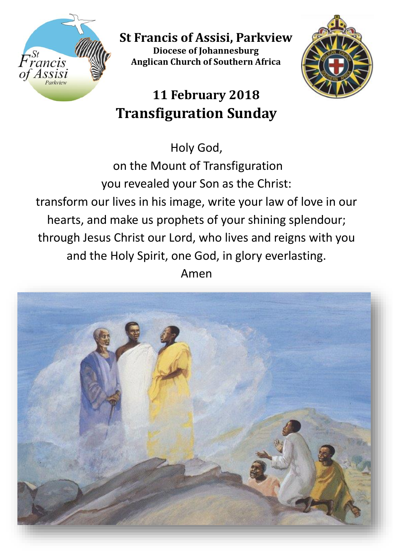

**St Francis of Assisi, Parkview Diocese of Johannesburg Anglican Church of Southern Africa**



# **11 February 2018 Transfiguration Sunday**

Holy God,

on the Mount of Transfiguration you revealed your Son as the Christ: transform our lives in his image, write your law of love in our hearts, and make us prophets of your shining splendour; through Jesus Christ our Lord, who lives and reigns with you and the Holy Spirit, one God, in glory everlasting. Amen

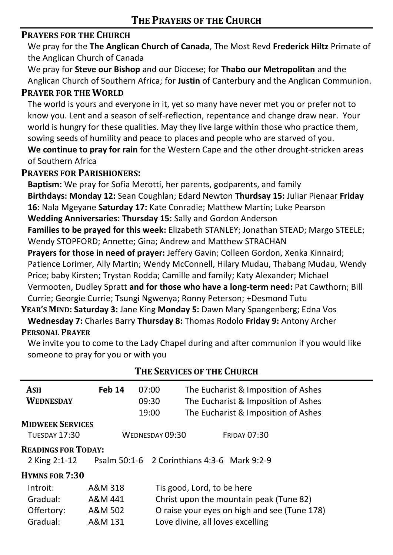#### **PRAYERS FOR THE CHURCH**

We pray for the **The Anglican Church of Canada**, The Most Revd **Frederick Hiltz** Primate of the Anglican Church of Canada

We pray for **Steve our Bishop** and our Diocese; for **Thabo our Metropolitan** and the Anglican Church of Southern Africa; for **Justin** of Canterbury and the Anglican Communion.

#### **PRAYER FOR THE WORLD**

The world is yours and everyone in it, yet so many have never met you or prefer not to know you. Lent and a season of self-reflection, repentance and change draw near. Your world is hungry for these qualities. May they live large within those who practice them, sowing seeds of humility and peace to places and people who are starved of you. **We continue to pray for rain** for the Western Cape and the other drought-stricken areas of Southern Africa

#### **PRAYERS FOR PARISHIONERS:**

**Baptism:** We pray for Sofia Merotti, her parents, godparents, and family **Birthdays: Monday 12:** Sean Coughlan; Edard Newton **Thurdsay 15:** Juliar Pienaar **Friday 16:** Nala Mgeyane **Saturday 17:** Kate Conradie; Matthew Martin; Luke Pearson **Wedding Anniversaries: Thursday 15:** Sally and Gordon Anderson **Families to be prayed for this week:** Elizabeth STANLEY; Jonathan STEAD; Margo STEELE; Wendy STOPFORD; Annette; Gina; Andrew and Matthew STRACHAN **Prayers for those in need of prayer:** Jeffery Gavin; Colleen Gordon, Xenka Kinnaird; Patience Lorimer, Ally Martin; Wendy McConnell, Hilary Mudau, Thabang Mudau, Wendy Price; baby Kirsten; Trystan Rodda; Camille and family; Katy Alexander; Michael Vermooten, Dudley Spratt **and for those who have a long-term need:** Pat Cawthorn; Bill Currie; Georgie Currie; Tsungi Ngwenya; Ronny Peterson; +Desmond Tutu

**YEAR'S MIND: Saturday 3:** Jane King **Monday 5:** Dawn Mary Spangenberg; Edna Vos **Wednesday 7:** Charles Barry **Thursday 8:** Thomas Rodolo **Friday 9:** Antony Archer **PERSONAL PRAYER**

#### We invite you to come to the Lady Chapel during and after communion if you would like someone to pray for you or with you

| ASH<br><b>WEDNESDAY</b>                                                                    | Feb 14                                      | 07:00<br>09:30<br>19:00 | The Eucharist & Imposition of Ashes<br>The Eucharist & Imposition of Ashes<br>The Eucharist & Imposition of Ashes |  |  |  |  |
|--------------------------------------------------------------------------------------------|---------------------------------------------|-------------------------|-------------------------------------------------------------------------------------------------------------------|--|--|--|--|
| <b>MIDWEEK SERVICES</b>                                                                    |                                             |                         |                                                                                                                   |  |  |  |  |
| <b>TUESDAY 17:30</b>                                                                       | WEDNESDAY 09:30                             |                         | <b>FRIDAY 07:30</b>                                                                                               |  |  |  |  |
| <b>READINGS FOR TODAY:</b><br>Psalm 50:1-6 2 Corinthians 4:3-6 Mark 9:2-9<br>2 King 2:1-12 |                                             |                         |                                                                                                                   |  |  |  |  |
| <b>HYMNS FOR 7:30</b>                                                                      |                                             |                         |                                                                                                                   |  |  |  |  |
| Introit:                                                                                   | A&M 318                                     |                         | Tis good, Lord, to be here                                                                                        |  |  |  |  |
| Gradual:                                                                                   | A&M 441                                     |                         | Christ upon the mountain peak (Tune 82)                                                                           |  |  |  |  |
| Offertory:                                                                                 | A&M 502                                     |                         | O raise your eyes on high and see (Tune 178)                                                                      |  |  |  |  |
| Gradual:                                                                                   | Love divine, all loves excelling<br>A&M 131 |                         |                                                                                                                   |  |  |  |  |

# **THE SERVICES OF THE CHURCH**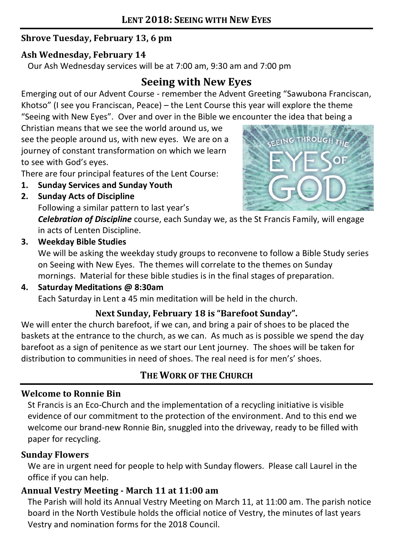## **Shrove Tuesday, February 13, 6 pm**

### **Ash Wednesday, February 14**

Our Ash Wednesday services will be at 7:00 am, 9:30 am and 7:00 pm

# **Seeing with New Eyes**

Emerging out of our Advent Course - remember the Advent Greeting "Sawubona Franciscan, Khotso" (I see you Franciscan, Peace) – the Lent Course this year will explore the theme "Seeing with New Eyes". Over and over in the Bible we encounter the idea that being a

Christian means that we see the world around us, we see the people around us, with new eyes. We are on a journey of constant transformation on which we learn to see with God's eyes.

There are four principal features of the Lent Course:

- **1. Sunday Services and Sunday Youth**
- **2. Sunday Acts of Discipline**

Following a similar pattern to last year's



*Celebration of Discipline* course, each Sunday we, as the St Francis Family, will engage in acts of Lenten Discipline.

### **3. Weekday Bible Studies**

We will be asking the weekday study groups to reconvene to follow a Bible Study series on Seeing with New Eyes. The themes will correlate to the themes on Sunday mornings. Material for these bible studies is in the final stages of preparation.

#### **4. Saturday Meditations @ 8:30am**

Each Saturday in Lent a 45 min meditation will be held in the church.

## **Next Sunday, February 18 is "Barefoot Sunday".**

We will enter the church barefoot, if we can, and bring a pair of shoes to be placed the baskets at the entrance to the church, as we can. As much as is possible we spend the day barefoot as a sign of penitence as we start our Lent journey. The shoes will be taken for distribution to communities in need of shoes. The real need is for men's' shoes.

# **THE WORK OF THE CHURCH**

## **Welcome to Ronnie Bin**

St Francis is an Eco-Church and the implementation of a recycling initiative is visible evidence of our commitment to the protection of the environment. And to this end we welcome our brand-new Ronnie Bin, snuggled into the driveway, ready to be filled with paper for recycling.

#### **Sunday Flowers**

We are in urgent need for people to help with Sunday flowers. Please call Laurel in the office if you can help.

## **Annual Vestry Meeting - March 11 at 11:00 am**

The Parish will hold its Annual Vestry Meeting on March 11, at 11:00 am. The parish notice board in the North Vestibule holds the official notice of Vestry, the minutes of last years Vestry and nomination forms for the 2018 Council.